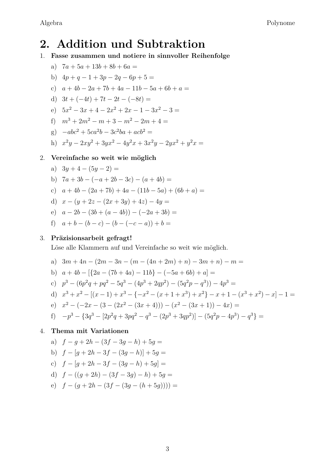# **2. Addition und Subtraktion**

- 1. **Fasse zusammen und notiere in sinnvoller Reihenfolge**
	- a)  $7a + 5a + 13b + 8b + 6a =$
	- b)  $4p + q 1 + 3p 2q 6p + 5 =$
	- c)  $a + 4b 2a + 7b + 4a 11b 5a + 6b + a =$
	- d)  $3t + (-4t) + 7t 2t (-8t) =$
	- e)  $5x^2 3x + 4 2x^2 + 2x 1 3x^2 3 =$
	- f)  $m^3 + 2m^2 m + 3 m^2 2m + 4 =$
	- g)  $-abc^2 + 5ca^2b 3c^2ba + acb^2 =$
	- h)  $x^2y 2xy^2 + 3yx^2 4y^2x + 3x^2y 2yx^2 + y^2x =$

#### 2. **Vereinfache so weit wie möglich**

- a)  $3y + 4 (5y 2) =$
- b)  $7a + 3b (-a + 2b 3c) (a + 4b) =$
- c)  $a + 4b (2a + 7b) + 4a (11b 5a) + (6b + a) =$
- d)  $x (y + 2z (2x + 3y) + 4z) 4y =$
- e)  $a 2b (3b + (a 4b)) (-2a + 3b) =$
- f)  $a + b (b c) (b (-c a)) + b =$

# 3. **Präzisionsarbeit gefragt!**

Löse alle Klammern auf und Vereinfache so weit wie möglich.

- a)  $3m + 4n (2m 3n (m (4n + 2m) + n) 3m + n) m =$
- b)  $a + 4b \left[\left\{2a (7b + 4a) 11b\right\} (-5a + 6b) + a\right] =$
- c)  $p^3 (6p^2q + pq^2 5q^3 (4p^3 + 2qp^2) (5q^2p q^3)) 4p^3 =$
- d)  $x^3 + x^2 [(x-1) + x^3 (-x^2 (x+1+x^3) + x^2 (x+1-(x^3+x^2) x)] 1 =$
- e)  $x^2 (-2x (3 (2x^2 (3x + 4))) (x^2 (3x + 1)) 4x) =$
- f)  $-p^3 {3q^3 [2p^2q + 3pq^2 q^3 (2p^3 + 3qp^2)] (5q^2p 4p^3) q^3}$

# 4. **Thema mit Variationen**

a) *f* − *g* + 2*h* − (3*f* − 3*g* − *h*) + 5*g* = b) *f* − [*g* + 2*h* − 3*f* − (3*g* − *h*)] + 5*g* = c)  $f - [q + 2h - 3f - (3q - h) + 5q] =$ d)  $f - ((a + 2h) - (3f - 3a) - h) + 5a =$ e)  $f - (a + 2h - (3f - (3a - (h + 5a)))) =$